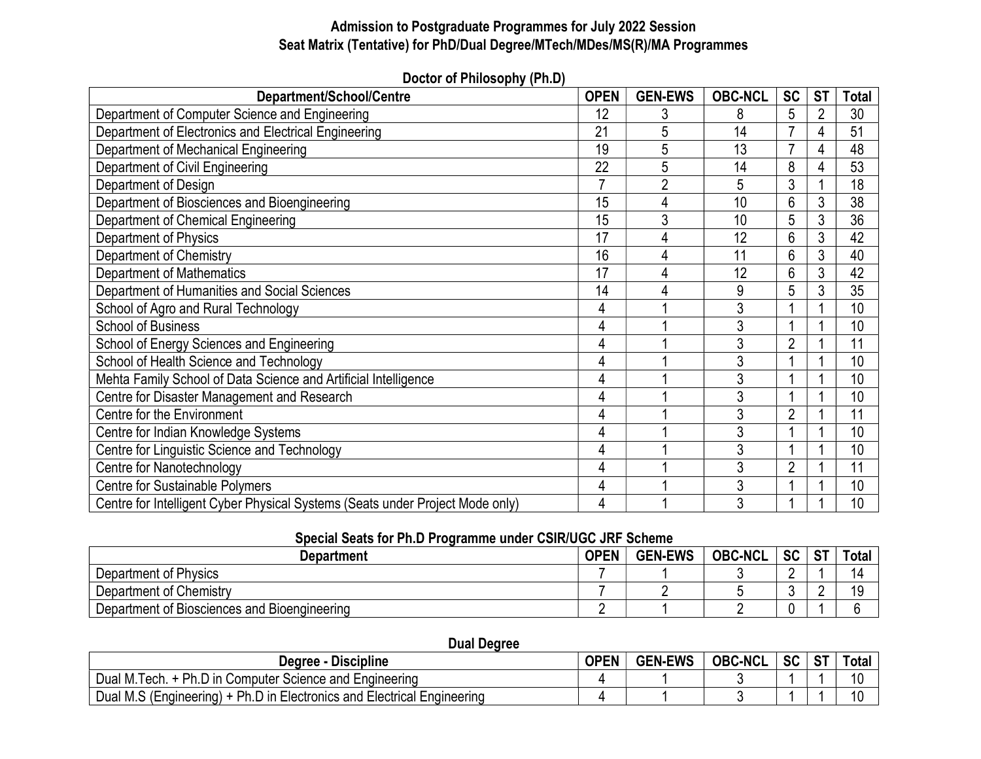# Admission to Postgraduate Programmes for July 2022 Session Seat Matrix (Tentative) for PhD/Dual Degree/MTech/MDes/MS(R)/MA Programmes

| ן ש <sub>יי</sub> ון זיועספטווון דוט וטאטש                                    |             |                |                |                |           |              |  |  |  |  |
|-------------------------------------------------------------------------------|-------------|----------------|----------------|----------------|-----------|--------------|--|--|--|--|
| Department/School/Centre                                                      | <b>OPEN</b> | <b>GEN-EWS</b> | <b>OBC-NCL</b> | <b>SC</b>      | <b>ST</b> | <b>Total</b> |  |  |  |  |
| Department of Computer Science and Engineering                                | 12          |                | 8              | 5              |           | 30           |  |  |  |  |
| Department of Electronics and Electrical Engineering                          |             | 5              | 14             | 7              |           | 51           |  |  |  |  |
| Department of Mechanical Engineering                                          |             | 5              | 13             |                |           | 48           |  |  |  |  |
| Department of Civil Engineering                                               |             | 5              | 14             | 8              |           | 53           |  |  |  |  |
| Department of Design                                                          |             | $\overline{2}$ | 5              | 3              |           | 18           |  |  |  |  |
| Department of Biosciences and Bioengineering                                  | 15          | 4              | 10             | 6              |           | 38           |  |  |  |  |
| Department of Chemical Engineering                                            | 15          | 3              | 10             | 5              |           | 36           |  |  |  |  |
| Department of Physics                                                         | 17          | 4              | 12             | 6              |           | 42           |  |  |  |  |
| Department of Chemistry                                                       | 16          | 4              | 11             | 6              | 3         | 40           |  |  |  |  |
| <b>Department of Mathematics</b>                                              | 17          | 4              | 12             | 6              |           | 42           |  |  |  |  |
| Department of Humanities and Social Sciences                                  |             | 4              | 9              | 5              | 3         | 35           |  |  |  |  |
| School of Agro and Rural Technology                                           |             |                | 3              |                |           | 10           |  |  |  |  |
| <b>School of Business</b>                                                     |             |                | 3              |                |           | 10           |  |  |  |  |
| School of Energy Sciences and Engineering                                     | 4           |                |                | $\overline{2}$ |           | 11           |  |  |  |  |
| School of Health Science and Technology                                       | 4           |                | 3              |                |           | 10           |  |  |  |  |
| Mehta Family School of Data Science and Artificial Intelligence               | 4           |                |                |                |           | 10           |  |  |  |  |
| Centre for Disaster Management and Research                                   | 4           |                | 3              |                |           | 10           |  |  |  |  |
| Centre for the Environment                                                    | 4           |                |                | $\overline{2}$ |           | 11           |  |  |  |  |
| Centre for Indian Knowledge Systems                                           | 4           |                |                |                |           | 10           |  |  |  |  |
| Centre for Linguistic Science and Technology                                  | 4           |                |                |                |           | 10           |  |  |  |  |
| Centre for Nanotechnology                                                     | 4           |                | 3              | $\overline{2}$ |           | 11           |  |  |  |  |
| <b>Centre for Sustainable Polymers</b>                                        | 4           |                | 3              |                |           | 10           |  |  |  |  |
| Centre for Intelligent Cyber Physical Systems (Seats under Project Mode only) | 4           |                | 3              |                |           | 10           |  |  |  |  |

Doctor of Philosophy (Ph.D)

## Special Seats for Ph.D Programme under CSIR/UGC JRF Scheme

| Department                                   | <b>OPEN</b> | <b>GEN-EWS</b> | <b>OBC-NCL</b> | <b>SC</b> | C.T | <b>Total</b> |
|----------------------------------------------|-------------|----------------|----------------|-----------|-----|--------------|
| Department of Physics                        |             |                |                | -         |     |              |
| Department of Chemistry                      |             |                |                |           |     |              |
| Department of Biosciences and Bioengineering |             |                |                |           |     |              |

### Dual Degree

| <b>Degree - Discipline</b>                                              |  | <b>GEN-EWS</b> | <b>OBC-NCL</b> | <b>SC</b> | <b>ST</b> | Total |
|-------------------------------------------------------------------------|--|----------------|----------------|-----------|-----------|-------|
| 1. + Ph.D in Computer Science and Engineering<br>Dual M.T<br>' Tech.    |  |                |                |           |           | 10    |
| Dual M.S (Engineering) + Ph.D in Electronics and Electrical Engineering |  |                |                |           |           | 10    |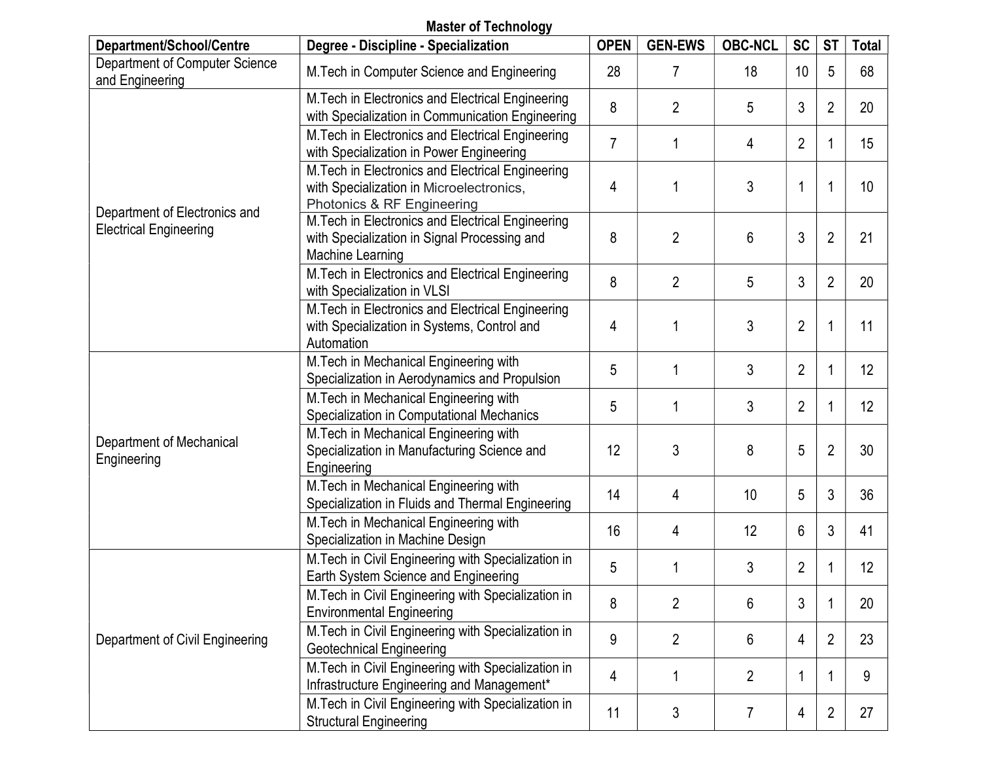#### Master of Technology Department/School/Centre | Degree - Discipline - Specialization | OPEN GEN-EWS | OBC-NCL SC | ST | Total Department of Computer Science and Engineering M.Tech in Computer Science and Engineering 28 7 18 10 5 68 Department of Electronics and Electrical Engineering M.Tech in Electronics and Electrical Engineering with Specialization in Communication Engineering 8 2 5 3 2 20 M.Tech in Electronics and Electrical Engineering with Specialization in Power Engineering 7 1 4 2 1 15 M.Tech in Electronics and Electrical Engineering with Specialization in Microelectronics, Photonics & RF Engineering 4 | 1 | 3 | 1 | 1 | 10 M.Tech in Electronics and Electrical Engineering with Specialization in Signal Processing and Machine Learning 8 2 6 3 2 21 M.Tech in Electronics and Electrical Engineering with Specialization in VLSI  $\frac{1}{2}$  8  $\frac{1}{2}$  2  $\frac{1}{3}$  2  $\frac{2}{2}$  20 M.Tech in Electronics and Electrical Engineering with Specialization in Systems, Control and Automation 4 | 1 | 3 | 2 | 1 | 11 Department of Mechanical **Engineering** M.Tech in Mechanical Engineering with Specialization in Aerodynamics and Propulsion 5 1 3 2 1 12 M.Tech in Mechanical Engineering with Specialization in Computational Mechanics 5 1 3 2 1 12 M.Tech in Mechanical Engineering with Specialization in Manufacturing Science and Engineering  $12 \mid 3 \mid 8 \mid 5 \mid 2 \mid 30$ M.Tech in Mechanical Engineering with Specialization in Fluids and Thermal Engineering  $\begin{vmatrix} 14 \end{vmatrix}$  4  $\begin{vmatrix} 4 \end{vmatrix}$  10  $\begin{vmatrix} 5 \end{vmatrix}$  3  $\begin{vmatrix} 36 \end{vmatrix}$ M.Tech in Mechanical Engineering with M. Lectrific Mechanical Engineering with<br>Specialization in Machine Design 16 | 16 | 16 | 12 | 6 | 3 | 41 Department of Civil Engineering M.Tech in Civil Engineering with Specialization in Earth System Science and Engineering 5 1 3 2 1 12 M.Tech in Civil Engineering with Specialization in Environmental Engineering 8 2 6 3 1 20 M.Tech in Civil Engineering with Specialization in Geotechnical Engineering 9 2 6 4 2 23 M.Tech in Civil Engineering with Specialization in Infrastructure Engineering and Management\*  $\begin{array}{|c|c|c|c|c|c|}\n\hline\n1 & 1 & 2 & 1 & 1 & 9\n\end{array}$ M.Tech in Civil Engineering with Specialization in Structural Engineering 11 3 7 4 2 27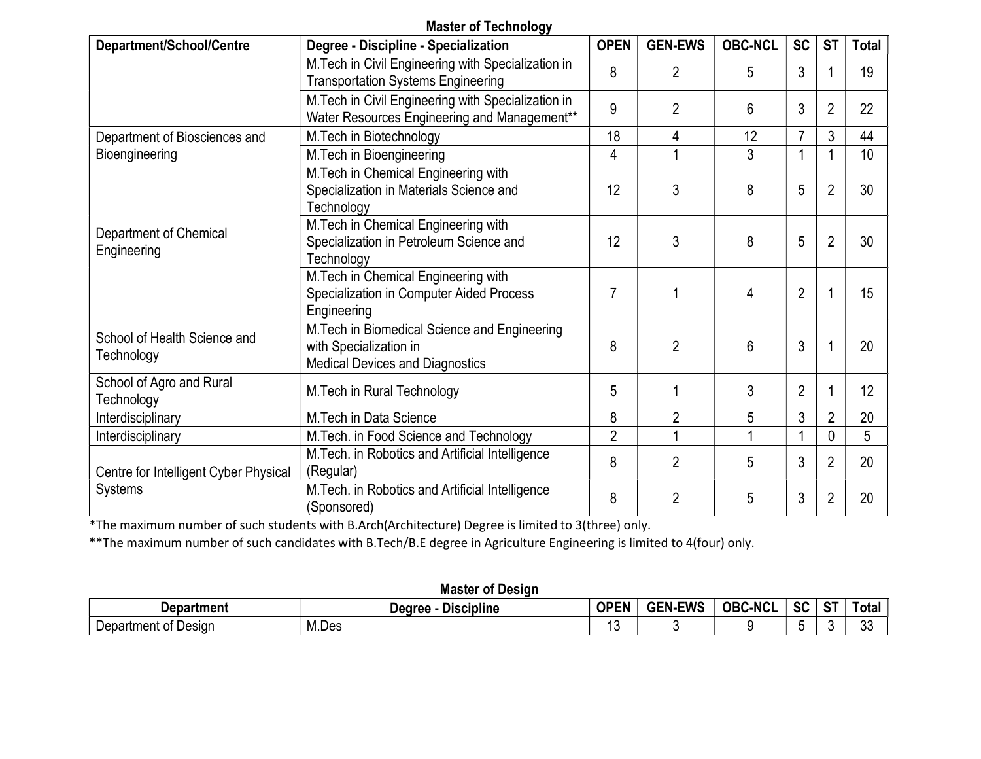## Master of Technology

| Department/School/Centre                   | Degree - Discipline - Specialization                                                                              | <b>OPEN</b>    | <b>GEN-EWS</b> | <b>OBC-NCL</b> | <b>SC</b>      | <b>ST</b>      | <b>Total</b> |
|--------------------------------------------|-------------------------------------------------------------------------------------------------------------------|----------------|----------------|----------------|----------------|----------------|--------------|
|                                            | M. Tech in Civil Engineering with Specialization in<br><b>Transportation Systems Engineering</b>                  | 8              | $\overline{2}$ | 5              | 3              |                | 19           |
|                                            | M. Tech in Civil Engineering with Specialization in<br>Water Resources Engineering and Management**               | 9              | $\overline{2}$ | 6              | 3              | 2              | 22           |
| Department of Biosciences and              | M. Tech in Biotechnology                                                                                          | 18             | 4              | 12             | $\overline{7}$ | 3              | 44           |
| Bioengineering                             | M.Tech in Bioengineering                                                                                          | $\overline{4}$ |                | 3              |                |                | 10           |
| Department of Chemical<br>Engineering      | M. Tech in Chemical Engineering with<br>Specialization in Materials Science and<br>Technology                     | 12             | 3              | 8              | 5              | $\overline{2}$ | 30           |
|                                            | M. Tech in Chemical Engineering with<br>Specialization in Petroleum Science and<br>Technology                     | 12             | 3              | 8              | 5              | $\overline{2}$ | 30           |
|                                            | M. Tech in Chemical Engineering with<br>Specialization in Computer Aided Process<br>Engineering                   | 7              |                | 4              | $\overline{2}$ |                | 15           |
| School of Health Science and<br>Technology | M. Tech in Biomedical Science and Engineering<br>with Specialization in<br><b>Medical Devices and Diagnostics</b> | 8              | $\overline{2}$ | 6              | 3              |                | 20           |
| School of Agro and Rural<br>Technology     | M. Tech in Rural Technology                                                                                       | 5              |                | 3              | $\overline{2}$ |                | 12           |
| Interdisciplinary                          | M.Tech in Data Science                                                                                            | 8              | $\overline{2}$ | 5              | 3              | $\overline{2}$ | 20           |
| Interdisciplinary                          | M. Tech. in Food Science and Technology                                                                           | $\overline{2}$ |                |                |                | 0              | 5            |
| Centre for Intelligent Cyber Physical      | M. Tech. in Robotics and Artificial Intelligence<br>(Regular)                                                     | 8              | $\overline{2}$ | 5              | 3              | $\overline{2}$ | 20           |
| Systems                                    | M. Tech. in Robotics and Artificial Intelligence<br>(Sponsored)                                                   | 8              | $\overline{2}$ | 5              | 3              | $\overline{2}$ | 20           |

\*The maximum number of such students with B.Arch(Architecture) Degree is limited to 3(three) only.

\*\*The maximum number of such candidates with B.Tech/B.E degree in Agriculture Engineering is limited to 4(four) only.

## Master of Design

| Department                        | .<br>Dearee<br><b>UISCIDIINE</b><br>_ | <b>OPEN</b><br>- IN | <b>GFN-FWS</b> | <b>OBC</b><br><b>C-NCI</b> | $\mathbf{e}$<br>ാ∟ | $\sim$ $\sim$<br><u>ы.</u> | ⊥ota.     |
|-----------------------------------|---------------------------------------|---------------------|----------------|----------------------------|--------------------|----------------------------|-----------|
| -<br>-<br>Department<br>of Desigr | M.Des                                 |                     |                |                            |                    |                            | ^^<br>ັບປ |